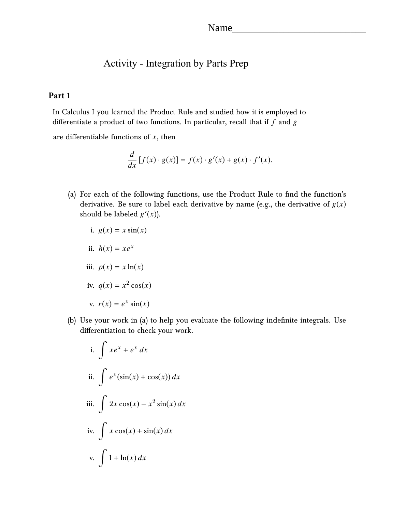# Activity - Integration by Parts Prep

## **Part 1**

In Calculus I you learned the Product Rule and studied how it is employed to differentiate a product of two functions. In particular, recall that if *f* and g

are differentiable functions of *x*, then

$$
\frac{d}{dx}[f(x) \cdot g(x)] = f(x) \cdot g'(x) + g(x) \cdot f'(x).
$$

(a) For each of the following functions, use the Product Rule to find the function's derivative. Be sure to label each derivative by name (e.g., the derivative of  $g(x)$ ) should be labeled  $g'(x)$ ).

i. 
$$
g(x) = x \sin(x)
$$
  
\nii.  $h(x) = xe^x$   
\niii.  $p(x) = x \ln(x)$   
\niv.  $q(x) = x^2 \cos(x)$   
\nv.  $r(x) = e^x \sin(x)$ 

(b) Use your work in (a) to help you evaluate the following indefinite integrals. Use differentiation to check your work.

i. 
$$
\int xe^{x} + e^{x} dx
$$
  
ii. 
$$
\int e^{x} (\sin(x) + \cos(x)) dx
$$
  
iii. 
$$
\int 2x \cos(x) - x^{2} \sin(x) dx
$$
  
iv. 
$$
\int x \cos(x) + \sin(x) dx
$$
  
v. 
$$
\int 1 + \ln(x) dx
$$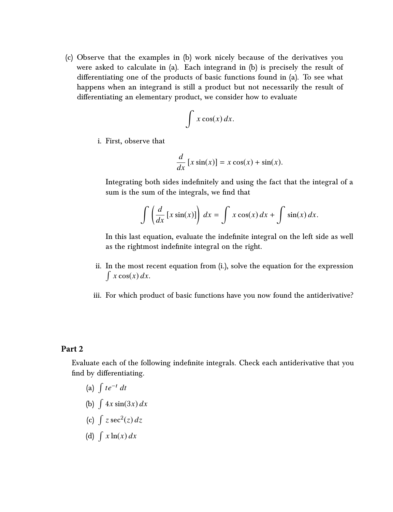(c) Observe that the examples in (b) work nicely because of the derivatives you were asked to calculate in (a). Each integrand in (b) is precisely the result of differentiating one of the products of basic functions found in (a). To see what happens when an integrand is still a product but not necessarily the result of differentiating an elementary product, we consider how to evaluate

$$
\int x \cos(x) \, dx.
$$

i. First, observe that

$$
\frac{d}{dx}\left[x\sin(x)\right] = x\cos(x) + \sin(x).
$$

Integrating both sides indefinitely and using the fact that the integral of a sum is the sum of the integrals, we find that

$$
\int \left( \frac{d}{dx} \left[ x \sin(x) \right] \right) dx = \int x \cos(x) dx + \int \sin(x) dx.
$$

In this last equation, evaluate the indefinite integral on the left side as well as the rightmost indefinite integral on the right.

- ii. In the most recent equation from (i.), solve the equation for the expression  $\int x \cos(x) dx$ .
- iii. For which product of basic functions have you now found the antiderivative?

#### **Part 2**

Evaluate each of the following indefinite integrals. Check each antiderivative that you find by differentiating.

- (a) R *te*−<sup>t</sup> *dt*
- (b)  $\int 4x \sin(3x) dx$
- (c)  $\int z \sec^2(z) dz$
- (d)  $\int x \ln(x) dx$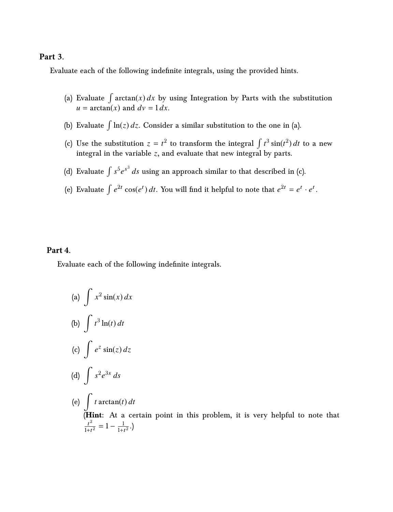### **Part 3.**

Evaluate each of the following indefinite integrals, using the provided hints.

- (a) Evaluate  $\int \arctan(x) dx$  by using Integration by Parts with the substitution  $u = \arctan(x)$  and  $dv = 1 dx$ .
- (b) Evaluate  $\int \ln(z) dz$ . Consider a similar substitution to the one in (a).
- (c) Use the substitution  $z = t^2$  to transform the integral  $\int t^3 \sin(t^2) dt$  to a new integral in the variable *z*, and evaluate that new integral by parts.
- (d) Evaluate  $\int s^5 e^{s^3} \, ds$  using an approach similar to that described in (c).
- (e) Evaluate  $\int e^{2t} \cos(e^t) dt$ . You will find it helpful to note that  $e^{2t} = e^t \cdot e^t$

## **Part 4.**

Evaluate each of the following indefinite integrals.

(a) 
$$
\int x^2 \sin(x) dx
$$
  
\n(b)  $\int t^3 \ln(t) dt$   
\n(c)  $\int e^z \sin(z) dz$   
\n(d)  $\int s^2 e^{3s} ds$   
\n(e)  $\int t \arctan(t) dt$   
\n(Hint: At a certain point in this problem, it is very helpful to note that  
\n $\frac{t^2}{1+t^2} = 1 - \frac{1}{1+t^2}$ .)